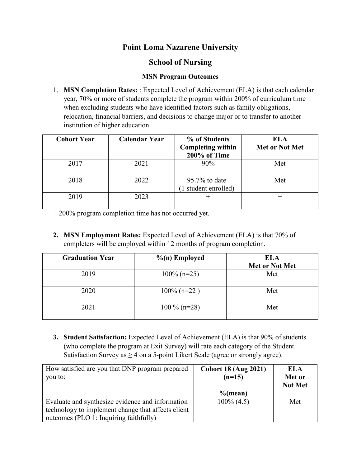## **Point Loma Nazarene University**

## **School of Nursing**

## **MSN Program Outcomes**

1. **MSN Completion Rates:** : Expected Level of Achievement (ELA) is that each calendar year, 70% or more of students complete the program within 200% of curriculum time when excluding students who have identified factors such as family obligations, relocation, financial barriers, and decisions to change major or to transfer to another institution of higher education.

| <b>Cohort Year</b> | <b>Calendar Year</b> | % of Students<br><b>Completing within</b><br>200% of Time | <b>ELA</b><br><b>Met or Not Met</b> |
|--------------------|----------------------|-----------------------------------------------------------|-------------------------------------|
| 2017               | 2021                 | $90\%$                                                    | Met                                 |
| 2018               | 2022                 | $95.7\%$ to date<br>1 student enrolled)                   | Met                                 |
| 2019               | 2023                 |                                                           |                                     |

+ 200% program completion time has not occurred yet.

**2. MSN Employment Rates:** Expected Level of Achievement (ELA) is that 70% of completers will be employed within 12 months of program completion.

| <b>Graduation Year</b> | $%$ (n) Employed | <b>ELA</b><br>Met or Not Met |
|------------------------|------------------|------------------------------|
| 2019                   | $100\%$ (n=25)   | Met                          |
| 2020                   | $100\%$ (n=22)   | Met                          |
| 2021                   | $100\%$ (n=28)   | Met                          |

**3. Student Satisfaction:** Expected Level of Achievement (ELA) is that 90% of students (who complete the program at Exit Survey) will rate each category of the Student Satisfaction Survey as  $\geq$  4 on a 5-point Likert Scale (agree or strongly agree).

| How satisfied are you that DNP program prepared<br>you to: | <b>Cohort 18 (Aug 2021)</b><br>$(n=15)$ | ELA<br>Met or<br><b>Not Met</b> |
|------------------------------------------------------------|-----------------------------------------|---------------------------------|
|                                                            | $%$ (mean)                              |                                 |
| Evaluate and synthesize evidence and information           | $100\%$ (4.5)                           | Met                             |
| technology to implement change that affects client         |                                         |                                 |
| outcomes (PLO 1: Inquiring faithfully)                     |                                         |                                 |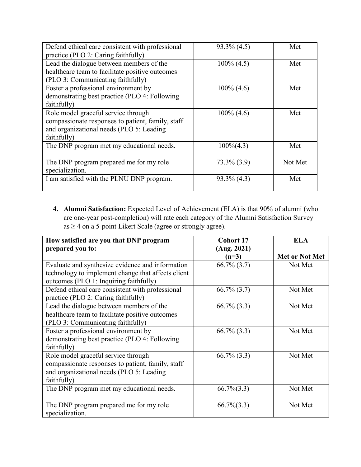| Defend ethical care consistent with professional  | $93.3\%$ (4.5) | Met     |
|---------------------------------------------------|----------------|---------|
| practice (PLO 2: Caring faithfully)               |                |         |
| Lead the dialogue between members of the          | $100\%$ (4.5)  | Met     |
| healthcare team to facilitate positive outcomes   |                |         |
| (PLO 3: Communicating faithfully)                 |                |         |
| Foster a professional environment by              | $100\%$ (4.6)  | Met     |
| demonstrating best practice (PLO 4: Following     |                |         |
| faithfully)                                       |                |         |
| Role model graceful service through               | $100\%$ (4.6)  | Met     |
| compassionate responses to patient, family, staff |                |         |
| and organizational needs (PLO 5: Leading          |                |         |
| faithfully)                                       |                |         |
| The DNP program met my educational needs.         | $100\%(4.3)$   | Met     |
|                                                   |                |         |
| The DNP program prepared me for my role           | $73.3\% (3.9)$ | Not Met |
| specialization.                                   |                |         |
| I am satisfied with the PLNU DNP program.         | $93.3\%$ (4.3) | Met     |
|                                                   |                |         |

**4. Alumni Satisfaction:** Expected Level of Achievement (ELA) is that 90% of alumni (who are one-year post-completion) will rate each category of the Alumni Satisfaction Survey  $as \geq 4$  on a 5-point Likert Scale (agree or strongly agree).

| How satisfied are you that DNP program             | <b>Cohort 17</b> | <b>ELA</b>     |
|----------------------------------------------------|------------------|----------------|
| prepared you to:                                   | (Aug. 2021)      |                |
|                                                    | $(n=3)$          | Met or Not Met |
| Evaluate and synthesize evidence and information   | $66.7\%$ $(3.7)$ | Not Met        |
| technology to implement change that affects client |                  |                |
| outcomes (PLO 1: Inquiring faithfully)             |                  |                |
| Defend ethical care consistent with professional   | $66.7\%$ $(3.7)$ | Not Met        |
| practice (PLO 2: Caring faithfully)                |                  |                |
| Lead the dialogue between members of the           | $66.7\%$ (3.3)   | Not Met        |
| healthcare team to facilitate positive outcomes    |                  |                |
| (PLO 3: Communicating faithfully)                  |                  |                |
| Foster a professional environment by               | $66.7\%$ $(3.3)$ | Not Met        |
| demonstrating best practice (PLO 4: Following      |                  |                |
| faithfully)                                        |                  |                |
| Role model graceful service through                | $66.7\%$ $(3.3)$ | Not Met        |
| compassionate responses to patient, family, staff  |                  |                |
| and organizational needs (PLO 5: Leading           |                  |                |
| faithfully)                                        |                  |                |
| The DNP program met my educational needs.          | $66.7\%(3.3)$    | Not Met        |
|                                                    |                  |                |
| The DNP program prepared me for my role            | $66.7\%$ $(3.3)$ | Not Met        |
| specialization.                                    |                  |                |